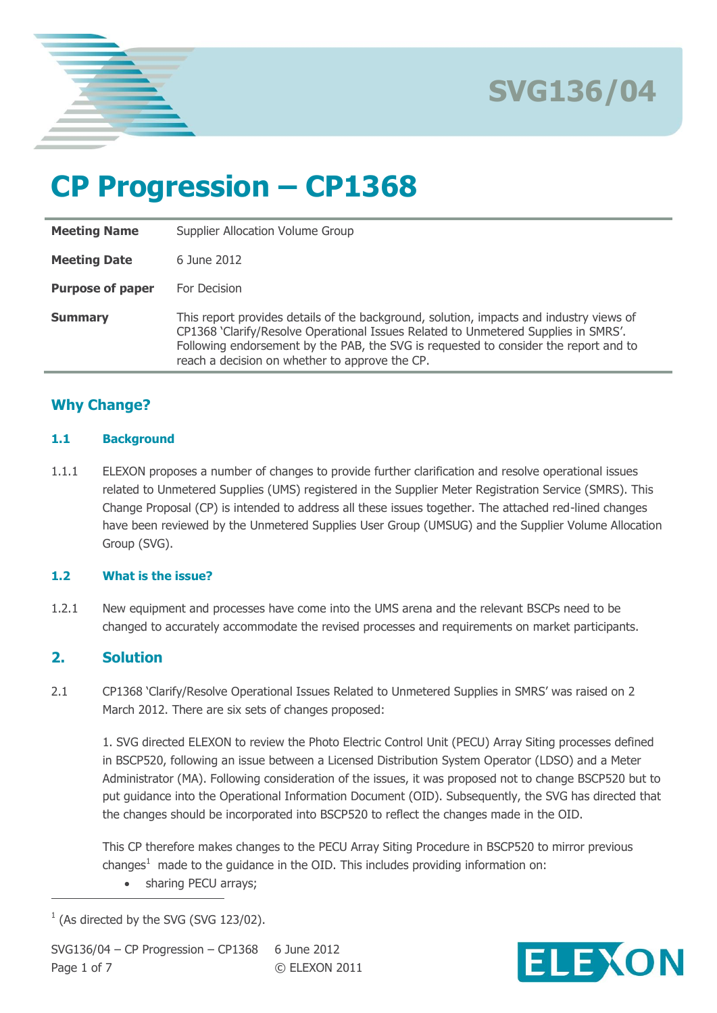

## **CP Progression – CP1368**

| <b>Meeting Name</b>     | Supplier Allocation Volume Group                                                                                                                                                                                                                                                                                        |
|-------------------------|-------------------------------------------------------------------------------------------------------------------------------------------------------------------------------------------------------------------------------------------------------------------------------------------------------------------------|
| <b>Meeting Date</b>     | 6 June 2012                                                                                                                                                                                                                                                                                                             |
| <b>Purpose of paper</b> | For Decision                                                                                                                                                                                                                                                                                                            |
| <b>Summary</b>          | This report provides details of the background, solution, impacts and industry views of<br>CP1368 'Clarify/Resolve Operational Issues Related to Unmetered Supplies in SMRS'.<br>Following endorsement by the PAB, the SVG is requested to consider the report and to<br>reach a decision on whether to approve the CP. |

### **Why Change?**

#### **1.1 Background**

1.1.1 ELEXON proposes a number of changes to provide further clarification and resolve operational issues related to Unmetered Supplies (UMS) registered in the Supplier Meter Registration Service (SMRS). This Change Proposal (CP) is intended to address all these issues together. The attached red-lined changes have been reviewed by the Unmetered Supplies User Group (UMSUG) and the Supplier Volume Allocation Group (SVG).

#### **1.2 What is the issue?**

1.2.1 New equipment and processes have come into the UMS arena and the relevant BSCPs need to be changed to accurately accommodate the revised processes and requirements on market participants.

### **2. Solution**

 $\overline{a}$ 

2.1 CP1368 'Clarify/Resolve Operational Issues Related to Unmetered Supplies in SMRS' was raised on 2 March 2012. There are six sets of changes proposed:

1. SVG directed ELEXON to review the Photo Electric Control Unit (PECU) Array Siting processes defined in BSCP520, following an issue between a Licensed Distribution System Operator (LDSO) and a Meter Administrator (MA). Following consideration of the issues, it was proposed not to change BSCP520 but to put guidance into the Operational Information Document (OID). Subsequently, the SVG has directed that the changes should be incorporated into BSCP520 to reflect the changes made in the OID.

This CP therefore makes changes to the PECU Array Siting Procedure in BSCP520 to mirror previous changes<sup>1</sup> made to the guidance in the OID. This includes providing information on:

• sharing PECU arrays;



 $1$  (As directed by the SVG (SVG 123/02).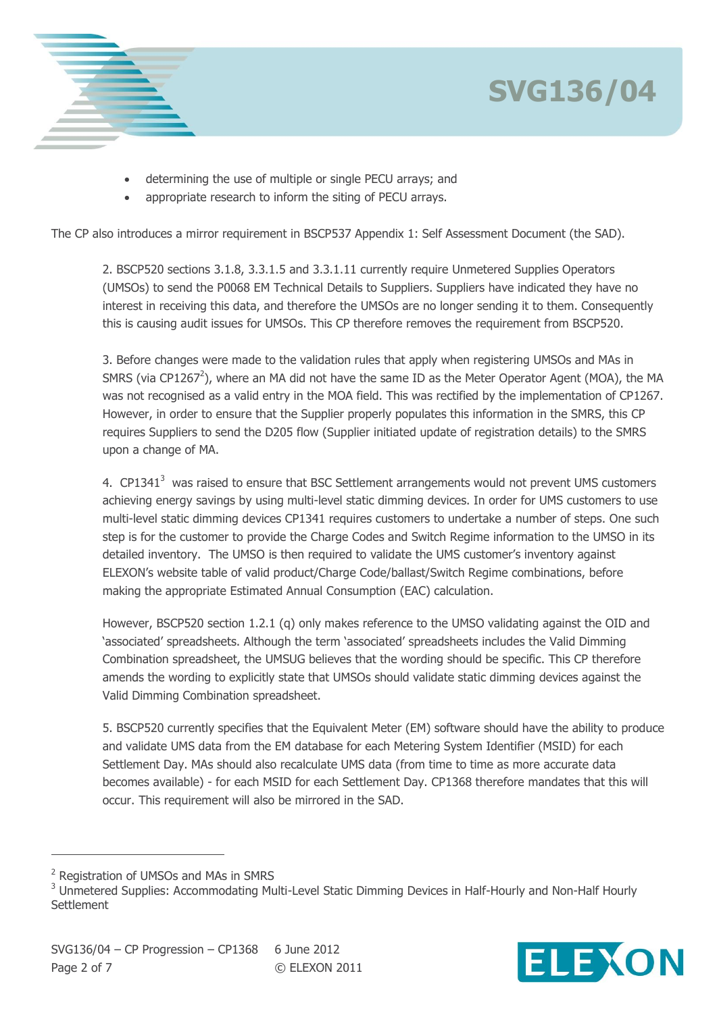



appropriate research to inform the siting of PECU arrays.

The CP also introduces a mirror requirement in BSCP537 Appendix 1: Self Assessment Document (the SAD).

2. BSCP520 sections 3.1.8, 3.3.1.5 and 3.3.1.11 currently require Unmetered Supplies Operators (UMSOs) to send the P0068 EM Technical Details to Suppliers. Suppliers have indicated they have no interest in receiving this data, and therefore the UMSOs are no longer sending it to them. Consequently this is causing audit issues for UMSOs. This CP therefore removes the requirement from BSCP520.

3. Before changes were made to the validation rules that apply when registering UMSOs and MAs in SMRS (via CP1267<sup>2</sup>), where an MA did not have the same ID as the Meter Operator Agent (MOA), the MA was not recognised as a valid entry in the MOA field. This was rectified by the implementation of CP1267. However, in order to ensure that the Supplier properly populates this information in the SMRS, this CP requires Suppliers to send the D205 flow (Supplier initiated update of registration details) to the SMRS upon a change of MA.

4.  $CP1341<sup>3</sup>$  was raised to ensure that BSC Settlement arrangements would not prevent UMS customers achieving energy savings by using multi-level static dimming devices. In order for UMS customers to use multi-level static dimming devices CP1341 requires customers to undertake a number of steps. One such step is for the customer to provide the Charge Codes and Switch Regime information to the UMSO in its detailed inventory. The UMSO is then required to validate the UMS customer's inventory against ELEXON's website table of valid product/Charge Code/ballast/Switch Regime combinations, before making the appropriate Estimated Annual Consumption (EAC) calculation.

However, BSCP520 section 1.2.1 (q) only makes reference to the UMSO validating against the OID and 'associated' spreadsheets. Although the term 'associated' spreadsheets includes the Valid Dimming Combination spreadsheet, the UMSUG believes that the wording should be specific. This CP therefore amends the wording to explicitly state that UMSOs should validate static dimming devices against the Valid Dimming Combination spreadsheet.

5. BSCP520 currently specifies that the Equivalent Meter (EM) software should have the ability to produce and validate UMS data from the EM database for each Metering System Identifier (MSID) for each Settlement Day. MAs should also recalculate UMS data (from time to time as more accurate data becomes available) - for each MSID for each Settlement Day. CP1368 therefore mandates that this will occur. This requirement will also be mirrored in the SAD.

 $\overline{a}$ 



<sup>2</sup> Registration of UMSOs and MAs in SMRS

<sup>&</sup>lt;sup>3</sup> Unmetered Supplies: Accommodating Multi-Level Static Dimming Devices in Half-Hourly and Non-Half Hourly **Settlement**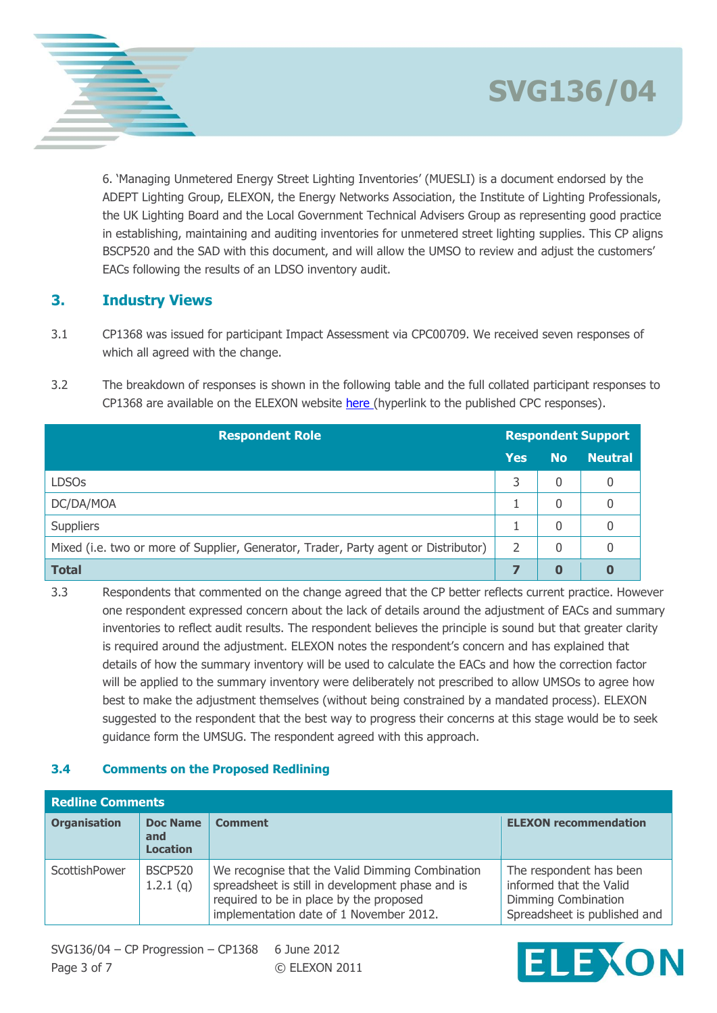6. 'Managing Unmetered Energy Street Lighting Inventories' (MUESLI) is a document endorsed by the ADEPT Lighting Group, ELEXON, the Energy Networks Association, the Institute of Lighting Professionals, the UK Lighting Board and the Local Government Technical Advisers Group as representing good practice in establishing, maintaining and auditing inventories for unmetered street lighting supplies. This CP aligns BSCP520 and the SAD with this document, and will allow the UMSO to review and adjust the customers' EACs following the results of an LDSO inventory audit.

### **3. Industry Views**

- 3.1 CP1368 was issued for participant Impact Assessment via CPC00709. We received seven responses of which all agreed with the change.
- 3.2 The breakdown of responses is shown in the following table and the full collated participant responses to CP1368 are available on the ELEXON website here (hyperlink to the published CPC responses).

| <b>Respondent Role</b>                                                              | <b>Respondent Support</b> |           |                |
|-------------------------------------------------------------------------------------|---------------------------|-----------|----------------|
|                                                                                     | <b>Yes</b>                | <b>No</b> | <b>Neutral</b> |
| <b>LDSOs</b>                                                                        | 3                         | 0         | 0              |
| DC/DA/MOA                                                                           |                           | 0         | 0              |
| <b>Suppliers</b>                                                                    |                           | 0         | 0              |
| Mixed (i.e. two or more of Supplier, Generator, Trader, Party agent or Distributor) | 2                         | 0         | 0              |
| <b>Total</b>                                                                        |                           | 0         | 0              |

3.3 Respondents that commented on the change agreed that the CP better reflects current practice. However one respondent expressed concern about the lack of details around the adjustment of EACs and summary inventories to reflect audit results. The respondent believes the principle is sound but that greater clarity is required around the adjustment. ELEXON notes the respondent's concern and has explained that details of how the summary inventory will be used to calculate the EACs and how the correction factor will be applied to the summary inventory were deliberately not prescribed to allow UMSOs to agree how best to make the adjustment themselves (without being constrained by a mandated process). ELEXON suggested to the respondent that the best way to progress their concerns at this stage would be to seek guidance form the UMSUG. The respondent agreed with this approach.

### **3.4 Comments on the Proposed Redlining**

| <b>Redline Comments</b> |                                           |                                                                                                                                                                                           |                                                                                                           |
|-------------------------|-------------------------------------------|-------------------------------------------------------------------------------------------------------------------------------------------------------------------------------------------|-----------------------------------------------------------------------------------------------------------|
| <b>Organisation</b>     | <b>Doc Name</b><br>and<br><b>Location</b> | <b>Comment</b>                                                                                                                                                                            | <b>ELEXON recommendation</b>                                                                              |
| ScottishPower           | <b>BSCP520</b><br>1.2.1(q)                | We recognise that the Valid Dimming Combination<br>spreadsheet is still in development phase and is<br>required to be in place by the proposed<br>implementation date of 1 November 2012. | The respondent has been<br>informed that the Valid<br>Dimming Combination<br>Spreadsheet is published and |

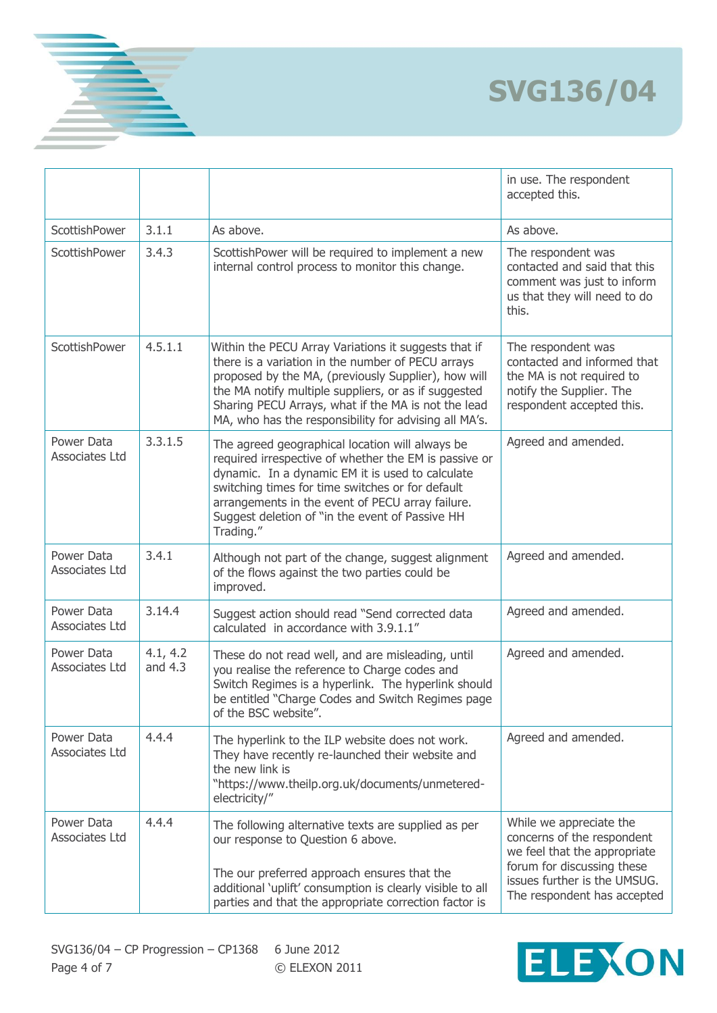|                              |                       |                                                                                                                                                                                                                                                                                                                                          | in use. The respondent<br>accepted this.                                                                                                                                           |
|------------------------------|-----------------------|------------------------------------------------------------------------------------------------------------------------------------------------------------------------------------------------------------------------------------------------------------------------------------------------------------------------------------------|------------------------------------------------------------------------------------------------------------------------------------------------------------------------------------|
| ScottishPower                | 3.1.1                 | As above.                                                                                                                                                                                                                                                                                                                                | As above.                                                                                                                                                                          |
| ScottishPower                | 3.4.3                 | ScottishPower will be required to implement a new<br>internal control process to monitor this change.                                                                                                                                                                                                                                    | The respondent was<br>contacted and said that this<br>comment was just to inform<br>us that they will need to do<br>this.                                                          |
| ScottishPower                | 4.5.1.1               | Within the PECU Array Variations it suggests that if<br>there is a variation in the number of PECU arrays<br>proposed by the MA, (previously Supplier), how will<br>the MA notify multiple suppliers, or as if suggested<br>Sharing PECU Arrays, what if the MA is not the lead<br>MA, who has the responsibility for advising all MA's. | The respondent was<br>contacted and informed that<br>the MA is not required to<br>notify the Supplier. The<br>respondent accepted this.                                            |
| Power Data<br>Associates Ltd | 3.3.1.5               | The agreed geographical location will always be<br>required irrespective of whether the EM is passive or<br>dynamic. In a dynamic EM it is used to calculate<br>switching times for time switches or for default<br>arrangements in the event of PECU array failure.<br>Suggest deletion of "in the event of Passive HH<br>Trading."     | Agreed and amended.                                                                                                                                                                |
| Power Data<br>Associates Ltd | 3.4.1                 | Although not part of the change, suggest alignment<br>of the flows against the two parties could be<br>improved.                                                                                                                                                                                                                         | Agreed and amended.                                                                                                                                                                |
| Power Data<br>Associates Ltd | 3.14.4                | Suggest action should read "Send corrected data<br>calculated in accordance with 3.9.1.1"                                                                                                                                                                                                                                                | Agreed and amended.                                                                                                                                                                |
| Power Data<br>Associates Ltd | 4.1, 4.2<br>and $4.3$ | These do not read well, and are misleading, until<br>you realise the reference to Charge codes and<br>Switch Regimes is a hyperlink. The hyperlink should<br>be entitled "Charge Codes and Switch Regimes page<br>of the BSC website".                                                                                                   | Agreed and amended.                                                                                                                                                                |
| Power Data<br>Associates Ltd | 4.4.4                 | The hyperlink to the ILP website does not work.<br>They have recently re-launched their website and<br>the new link is<br>"https://www.theilp.org.uk/documents/unmetered-<br>electricity/"                                                                                                                                               | Agreed and amended.                                                                                                                                                                |
| Power Data<br>Associates Ltd | 4.4.4                 | The following alternative texts are supplied as per<br>our response to Question 6 above.<br>The our preferred approach ensures that the<br>additional 'uplift' consumption is clearly visible to all<br>parties and that the appropriate correction factor is                                                                            | While we appreciate the<br>concerns of the respondent<br>we feel that the appropriate<br>forum for discussing these<br>issues further is the UMSUG.<br>The respondent has accepted |

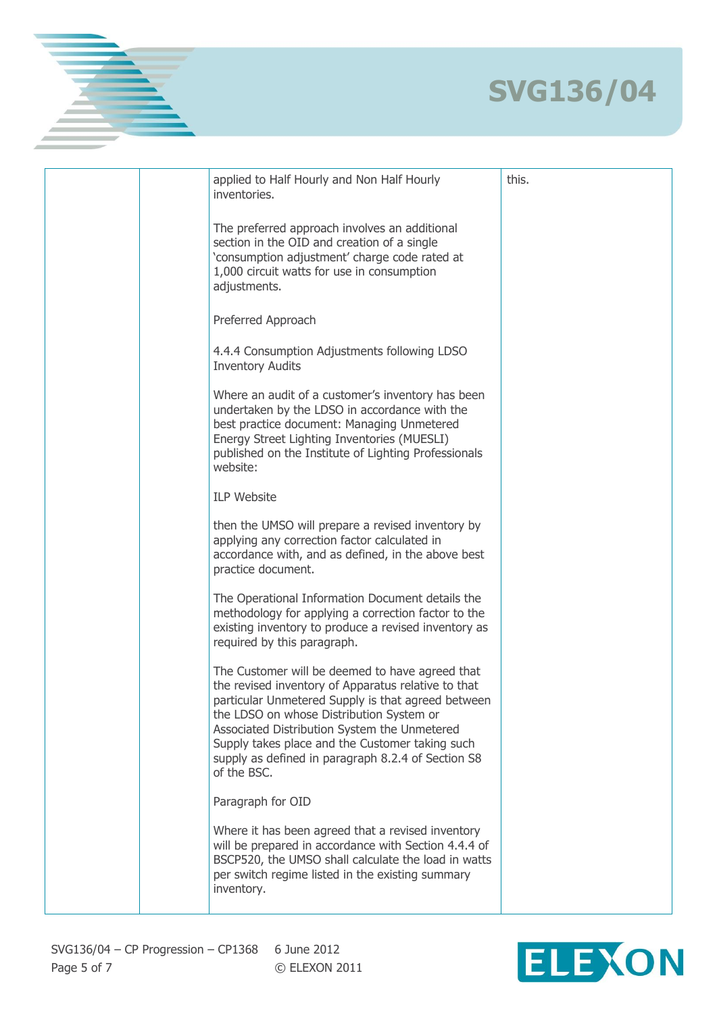|  | applied to Half Hourly and Non Half Hourly<br>inventories.                                                                                                                                                                                                                                                                                                                       | this. |
|--|----------------------------------------------------------------------------------------------------------------------------------------------------------------------------------------------------------------------------------------------------------------------------------------------------------------------------------------------------------------------------------|-------|
|  | The preferred approach involves an additional<br>section in the OID and creation of a single<br>'consumption adjustment' charge code rated at<br>1,000 circuit watts for use in consumption<br>adjustments.                                                                                                                                                                      |       |
|  | Preferred Approach                                                                                                                                                                                                                                                                                                                                                               |       |
|  | 4.4.4 Consumption Adjustments following LDSO<br><b>Inventory Audits</b>                                                                                                                                                                                                                                                                                                          |       |
|  | Where an audit of a customer's inventory has been<br>undertaken by the LDSO in accordance with the<br>best practice document: Managing Unmetered<br>Energy Street Lighting Inventories (MUESLI)<br>published on the Institute of Lighting Professionals<br>website:                                                                                                              |       |
|  | <b>ILP Website</b>                                                                                                                                                                                                                                                                                                                                                               |       |
|  | then the UMSO will prepare a revised inventory by<br>applying any correction factor calculated in<br>accordance with, and as defined, in the above best<br>practice document.                                                                                                                                                                                                    |       |
|  | The Operational Information Document details the<br>methodology for applying a correction factor to the<br>existing inventory to produce a revised inventory as<br>required by this paragraph.                                                                                                                                                                                   |       |
|  | The Customer will be deemed to have agreed that<br>the revised inventory of Apparatus relative to that<br>particular Unmetered Supply is that agreed between<br>the LDSO on whose Distribution System or<br>Associated Distribution System the Unmetered<br>Supply takes place and the Customer taking such<br>supply as defined in paragraph 8.2.4 of Section S8<br>of the BSC. |       |
|  | Paragraph for OID                                                                                                                                                                                                                                                                                                                                                                |       |
|  | Where it has been agreed that a revised inventory<br>will be prepared in accordance with Section 4.4.4 of<br>BSCP520, the UMSO shall calculate the load in watts<br>per switch regime listed in the existing summary<br>inventory.                                                                                                                                               |       |
|  |                                                                                                                                                                                                                                                                                                                                                                                  |       |

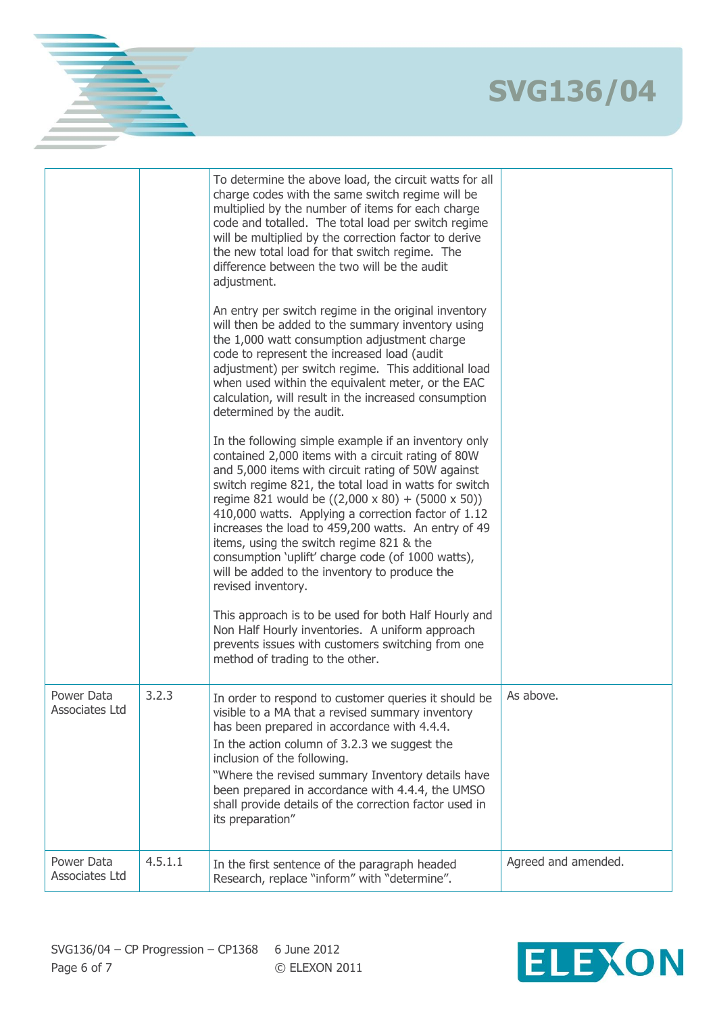|                              |         | To determine the above load, the circuit watts for all<br>charge codes with the same switch regime will be<br>multiplied by the number of items for each charge<br>code and totalled. The total load per switch regime<br>will be multiplied by the correction factor to derive<br>the new total load for that switch regime. The<br>difference between the two will be the audit<br>adjustment.<br>An entry per switch regime in the original inventory<br>will then be added to the summary inventory using                                                                   |                     |
|------------------------------|---------|---------------------------------------------------------------------------------------------------------------------------------------------------------------------------------------------------------------------------------------------------------------------------------------------------------------------------------------------------------------------------------------------------------------------------------------------------------------------------------------------------------------------------------------------------------------------------------|---------------------|
|                              |         | the 1,000 watt consumption adjustment charge<br>code to represent the increased load (audit<br>adjustment) per switch regime. This additional load<br>when used within the equivalent meter, or the EAC<br>calculation, will result in the increased consumption<br>determined by the audit.                                                                                                                                                                                                                                                                                    |                     |
|                              |         | In the following simple example if an inventory only<br>contained 2,000 items with a circuit rating of 80W<br>and 5,000 items with circuit rating of 50W against<br>switch regime 821, the total load in watts for switch<br>regime 821 would be $((2,000 \times 80) + (5000 \times 50))$<br>410,000 watts. Applying a correction factor of 1.12<br>increases the load to 459,200 watts. An entry of 49<br>items, using the switch regime 821 & the<br>consumption 'uplift' charge code (of 1000 watts),<br>will be added to the inventory to produce the<br>revised inventory. |                     |
|                              |         | This approach is to be used for both Half Hourly and<br>Non Half Hourly inventories. A uniform approach<br>prevents issues with customers switching from one<br>method of trading to the other.                                                                                                                                                                                                                                                                                                                                                                                 |                     |
| Power Data<br>Associates Ltd | 3.2.3   | In order to respond to customer queries it should be<br>visible to a MA that a revised summary inventory<br>has been prepared in accordance with 4.4.4.<br>In the action column of 3.2.3 we suggest the<br>inclusion of the following.<br>"Where the revised summary Inventory details have<br>been prepared in accordance with 4.4.4, the UMSO<br>shall provide details of the correction factor used in<br>its preparation"                                                                                                                                                   | As above.           |
| Power Data<br>Associates Ltd | 4.5.1.1 | In the first sentence of the paragraph headed<br>Research, replace "inform" with "determine".                                                                                                                                                                                                                                                                                                                                                                                                                                                                                   | Agreed and amended. |